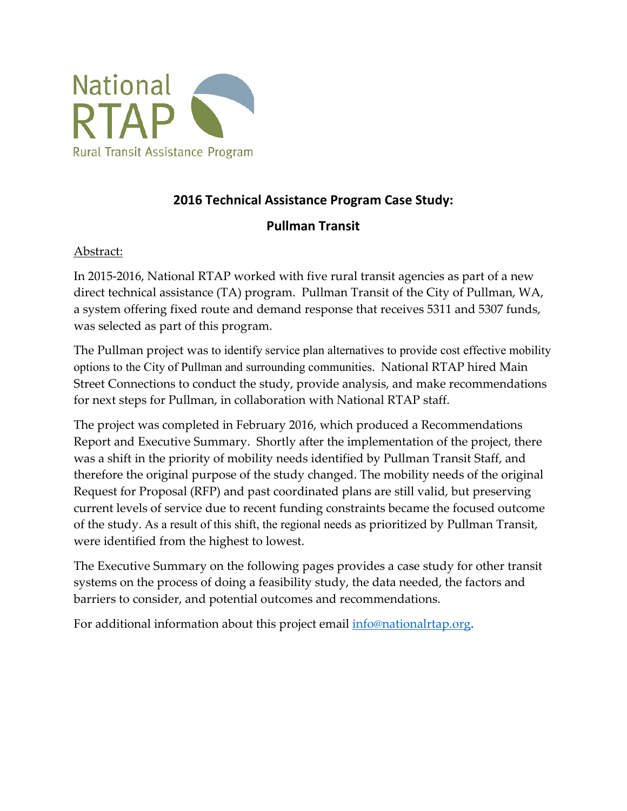

### **2016 Technical Assistance Program Case Study:**

### **Pullman Transit**

### Abstract:

 direct technical assistance (TA) program. Pullman Transit of the City of Pullman, WA, was selected as part of this program. In 2015-2016, National RTAP worked with five rural transit agencies as part of a new a system offering fixed route and demand response that receives 5311 and 5307 funds,

 for next steps for Pullman, in collaboration with National RTAP staff. The Pullman project was to identify service plan alternatives to provide cost effective mobility options to the City of Pullman and surrounding communities. National RTAP hired Main Street Connections to conduct the study, provide analysis, and make recommendations

 Report and Executive Summary. Shortly after the implementation of the project, there was a shift in the priority of mobility needs identified by Pullman Transit Staff, and of the study. As a result of this shift, the regional needs as prioritized by Pullman Transit, were identified from the highest to lowest. The project was completed in February 2016, which produced a Recommendations therefore the original purpose of the study changed. The mobility needs of the original Request for Proposal (RFP) and past coordinated plans are still valid, but preserving current levels of service due to recent funding constraints became the focused outcome

barriers to consider, and potential outcomes and recommendations. The Executive Summary on the following pages provides a case study for other transit systems on the process of doing a feasibility study, the data needed, the factors and

For additional information about this project email *info@nationalrtap.org*.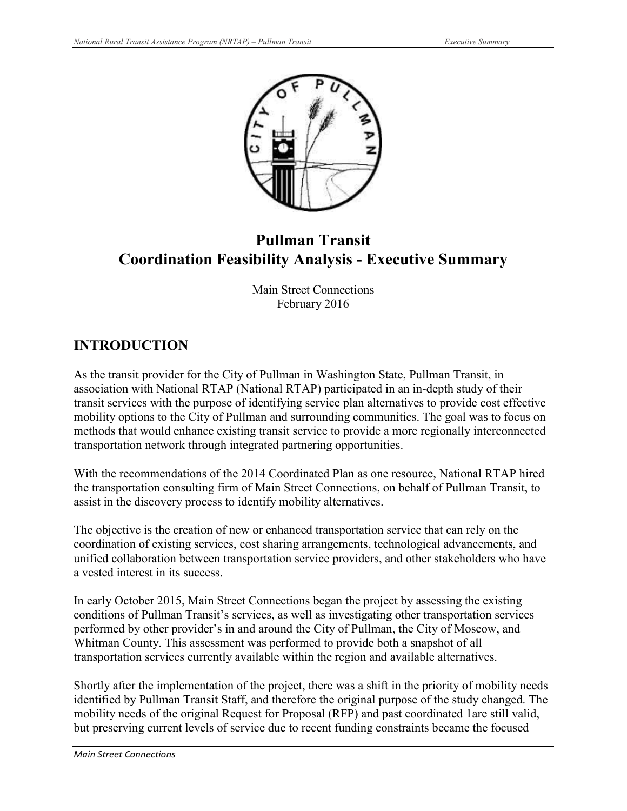

# **Coordination Feasibility Analysis - Executive Summary Pullman Transit**

Main Street Connections February 2016

## **INTRODUCTION**

As the transit provider for the City of Pullman in Washington State, Pullman Transit, in association with National RTAP (National RTAP) participated in an in-depth study of their transit services with the purpose of identifying service plan alternatives to provide cost effective mobility options to the City of Pullman and surrounding communities. The goal was to focus on methods that would enhance existing transit service to provide a more regionally interconnected transportation network through integrated partnering opportunities.

 the transportation consulting firm of Main Street Connections, on behalf of Pullman Transit, to assist in the discovery process to identify mobility alternatives. With the recommendations of the 2014 Coordinated Plan as one resource, National RTAP hired

 a vested interest in its success. The objective is the creation of new or enhanced transportation service that can rely on the coordination of existing services, cost sharing arrangements, technological advancements, and unified collaboration between transportation service providers, and other stakeholders who have

 In early October 2015, Main Street Connections began the project by assessing the existing conditions of Pullman Transit's services, as well as investigating other transportation services transportation services currently available within the region and available alternatives. performed by other provider's in and around the City of Pullman, the City of Moscow, and Whitman County. This assessment was performed to provide both a snapshot of all

 Shortly after the implementation of the project, there was a shift in the priority of mobility needs identified by Pullman Transit Staff, and therefore the original purpose of the study changed. The mobility needs of the original Request for Proposal (RFP) and past coordinated 1are still valid, but preserving current levels of service due to recent funding constraints became the focused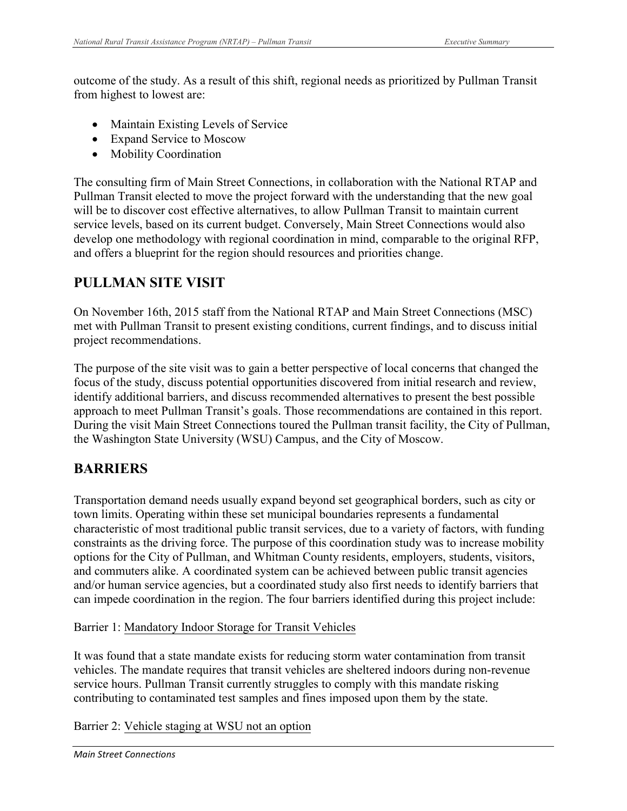outcome of the study. As a result of this shift, regional needs as prioritized by Pullman Transit from highest to lowest are:

- Maintain Existing Levels of Service
- Expand Service to Moscow
- Mobility Coordination

 Pullman Transit elected to move the project forward with the understanding that the new goal will be to discover cost effective alternatives, to allow Pullman Transit to maintain current The consulting firm of Main Street Connections, in collaboration with the National RTAP and service levels, based on its current budget. Conversely, Main Street Connections would also develop one methodology with regional coordination in mind, comparable to the original RFP, and offers a blueprint for the region should resources and priorities change.

### **PULLMAN SITE VISIT**

 On November 16th, 2015 staff from the National RTAP and Main Street Connections (MSC) met with Pullman Transit to present existing conditions, current findings, and to discuss initial project recommendations.

 The purpose of the site visit was to gain a better perspective of local concerns that changed the focus of the study, discuss potential opportunities discovered from initial research and review, During the visit Main Street Connections toured the Pullman transit facility, the City of Pullman, identify additional barriers, and discuss recommended alternatives to present the best possible approach to meet Pullman Transit's goals. Those recommendations are contained in this report. the Washington State University (WSU) Campus, and the City of Moscow.

### **BARRIERS**

 Transportation demand needs usually expand beyond set geographical borders, such as city or town limits. Operating within these set municipal boundaries represents a fundamental characteristic of most traditional public transit services, due to a variety of factors, with funding constraints as the driving force. The purpose of this coordination study was to increase mobility and commuters alike. A coordinated system can be achieved between public transit agencies and/or human service agencies, but a coordinated study also first needs to identify barriers that options for the City of Pullman, and Whitman County residents, employers, students, visitors, can impede coordination in the region. The four barriers identified during this project include:

Barrier 1: Mandatory Indoor Storage for Transit Vehicles

 vehicles. The mandate requires that transit vehicles are sheltered indoors during non-revenue contributing to contaminated test samples and fines imposed upon them by the state. It was found that a state mandate exists for reducing storm water contamination from transit service hours. Pullman Transit currently struggles to comply with this mandate risking

Barrier 2: Vehicle staging at WSU not an option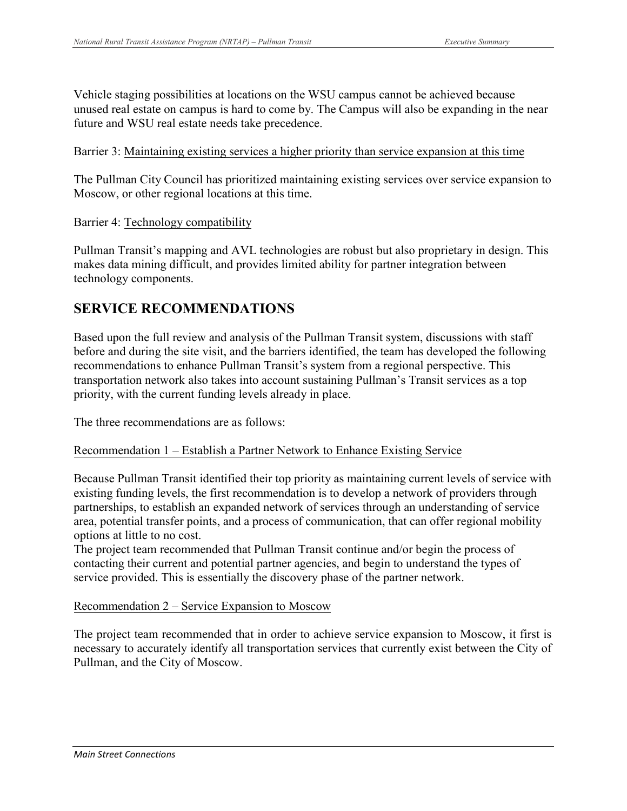future and WSU real estate needs take precedence. Vehicle staging possibilities at locations on the WSU campus cannot be achieved because unused real estate on campus is hard to come by. The Campus will also be expanding in the near

#### Barrier 3: Maintaining existing services a higher priority than service expansion at this time

 The Pullman City Council has prioritized maintaining existing services over service expansion to Moscow, or other regional locations at this time.

Barrier 4: Technology compatibility

Pullman Transit's mapping and AVL technologies are robust but also proprietary in design. This makes data mining difficult, and provides limited ability for partner integration between technology components.

### **SERVICE RECOMMENDATIONS**

Based upon the full review and analysis of the Pullman Transit system, discussions with staff before and during the site visit, and the barriers identified, the team has developed the following recommendations to enhance Pullman Transit's system from a regional perspective. This transportation network also takes into account sustaining Pullman's Transit services as a top priority, with the current funding levels already in place.

The three recommendations are as follows:

### Recommendation 1 – Establish a Partner Network to Enhance Existing Service

Because Pullman Transit identified their top priority as maintaining current levels of service with existing funding levels, the first recommendation is to develop a network of providers through partnerships, to establish an expanded network of services through an understanding of service area, potential transfer points, and a process of communication, that can offer regional mobility options at little to no cost.

The project team recommended that Pullman Transit continue and/or begin the process of contacting their current and potential partner agencies, and begin to understand the types of service provided. This is essentially the discovery phase of the partner network.

#### Recommendation 2 – Service Expansion to Moscow

The project team recommended that in order to achieve service expansion to Moscow, it first is necessary to accurately identify all transportation services that currently exist between the City of Pullman, and the City of Moscow.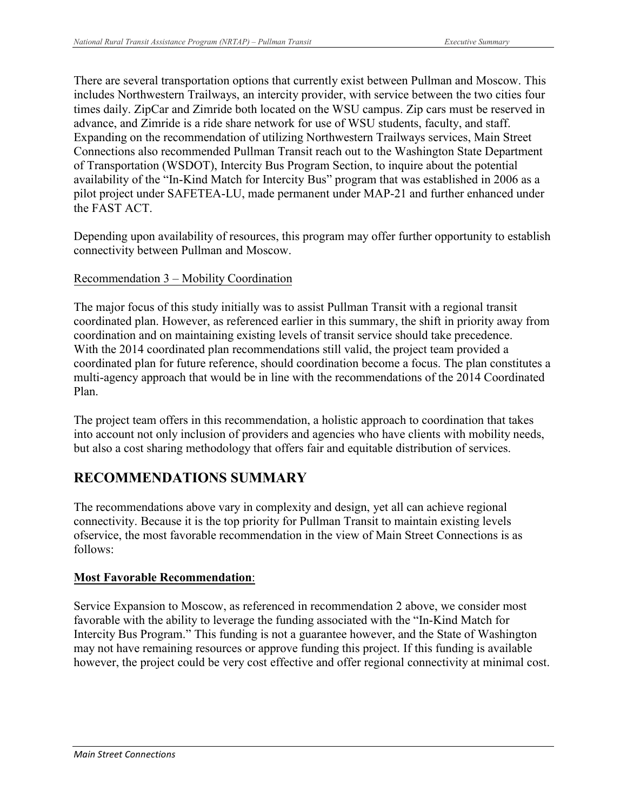includes Northwestern Trailways, an intercity provider, with service between the two cities four Connections also recommended Pullman Transit reach out to the Washington State Department availability of the "In-Kind Match for Intercity Bus" program that was established in 2006 as a the FAST ACT. There are several transportation options that currently exist between Pullman and Moscow. This times daily. ZipCar and Zimride both located on the WSU campus. Zip cars must be reserved in advance, and Zimride is a ride share network for use of WSU students, faculty, and staff. Expanding on the recommendation of utilizing Northwestern Trailways services, Main Street of Transportation (WSDOT), Intercity Bus Program Section, to inquire about the potential pilot project under SAFETEA-LU, made permanent under MAP-21 and further enhanced under

Depending upon availability of resources, this program may offer further opportunity to establish connectivity between Pullman and Moscow.

### Recommendation 3 – Mobility Coordination

 coordination and on maintaining existing levels of transit service should take precedence. With the 2014 coordinated plan recommendations still valid, the project team provided a multi-agency approach that would be in line with the recommendations of the 2014 Coordinated The major focus of this study initially was to assist Pullman Transit with a regional transit coordinated plan. However, as referenced earlier in this summary, the shift in priority away from coordinated plan for future reference, should coordination become a focus. The plan constitutes a Plan.

 but also a cost sharing methodology that offers fair and equitable distribution of services. The project team offers in this recommendation, a holistic approach to coordination that takes into account not only inclusion of providers and agencies who have clients with mobility needs,

## **RECOMMENDATIONS SUMMARY**

The recommendations above vary in complexity and design, yet all can achieve regional connectivity. Because it is the top priority for Pullman Transit to maintain existing levels ofservice, the most favorable recommendation in the view of Main Street Connections is as follows:

### **Most Favorable Recommendation**:

Service Expansion to Moscow, as referenced in recommendation 2 above, we consider most favorable with the ability to leverage the funding associated with the "In-Kind Match for Intercity Bus Program." This funding is not a guarantee however, and the State of Washington may not have remaining resources or approve funding this project. If this funding is available however, the project could be very cost effective and offer regional connectivity at minimal cost.